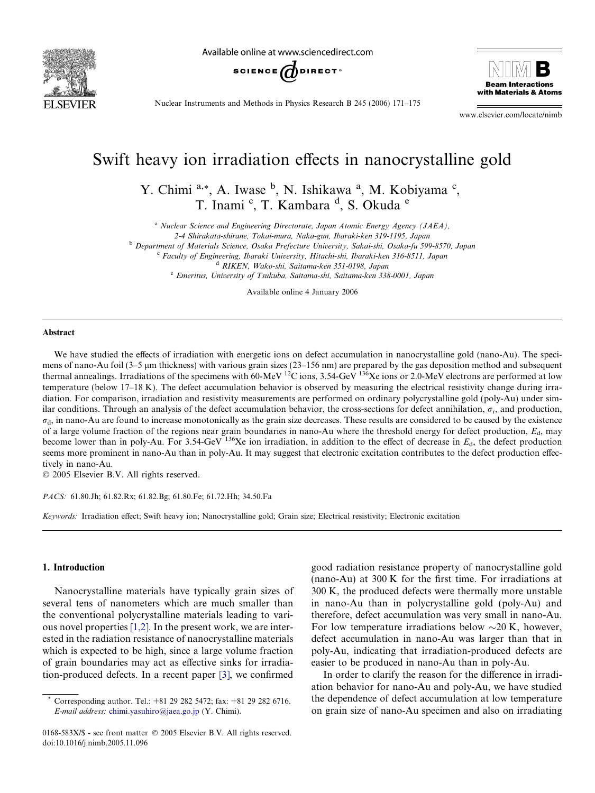

Available online at www.sciencedirect.com





Nuclear Instruments and Methods in Physics Research B 245 (2006) 171–175

www.elsevier.com/locate/nimb

# Swift heavy ion irradiation effects in nanocrystalline gold

Y. Chimi <sup>a,\*</sup>, A. Iwase <sup>b</sup>, N. Ishikawa <sup>a</sup>, M. Kobiyama <sup>c</sup>, T. Inami <sup>c</sup>, T. Kambara <sup>d</sup>, S. Okuda <sup>e</sup>

<sup>a</sup> Nuclear Science and Engineering Directorate, Japan Atomic Energy Agency (JAEA),

2-4 Shirakata-shirane, Tokai-mura, Naka-gun, Ibaraki-ken 319-1195, Japan

<sup>b</sup> Department of Materials Science, Osaka Prefecture University, Sakai-shi, Osaka-fu 599-8570, Japan

<sup>c</sup> Faculty of Engineering, Ibaraki University, Hitachi-shi, Ibaraki-ken 316-8511, Japan

<sup>d</sup> RIKEN, Wako-shi, Saitama-ken 351-0198, Japan

<sup>e</sup> Emeritus, University of Tsukuba, Saitama-shi, Saitama-ken 338-0001, Japan

Available online 4 January 2006

#### Abstract

We have studied the effects of irradiation with energetic ions on defect accumulation in nanocrystalline gold (nano-Au). The specimens of nano-Au foil (3–5 µm thickness) with various grain sizes (23–156 nm) are prepared by the gas deposition method and subsequent thermal annealings. Irradiations of the specimens with 60-MeV <sup>12</sup>C ions, 3.54-GeV <sup>136</sup>Xe ions or 2.0-MeV electrons are performed at low temperature (below 17–18 K). The defect accumulation behavior is observed by measuring the electrical resistivity change during irradiation. For comparison, irradiation and resistivity measurements are performed on ordinary polycrystalline gold (poly-Au) under similar conditions. Through an analysis of the defect accumulation behavior, the cross-sections for defect annihilation,  $\sigma_r$ , and production,  $\sigma_d$ , in nano-Au are found to increase monotonically as the grain size decreases. These results are considered to be caused by the existence of a large volume fraction of the regions near grain boundaries in nano-Au where the threshold energy for defect production,  $E<sub>d</sub>$ , may become lower than in poly-Au. For  $3.54$ -GeV  $^{136}Xe$  ion irradiation, in addition to the effect of decrease in  $E<sub>d</sub>$ , the defect production seems more prominent in nano-Au than in poly-Au. It may suggest that electronic excitation contributes to the defect production effectively in nano-Au.

2005 Elsevier B.V. All rights reserved.

PACS: 61.80.Jh; 61.82.Rx; 61.82.Bg; 61.80.Fe; 61.72.Hh; 34.50.Fa

Keywords: Irradiation effect; Swift heavy ion; Nanocrystalline gold; Grain size; Electrical resistivity; Electronic excitation

#### 1. Introduction

Nanocrystalline materials have typically grain sizes of several tens of nanometers which are much smaller than the conventional polycrystalline materials leading to various novel properties [\[1,2\]](#page-3-0). In the present work, we are interested in the radiation resistance of nanocrystalline materials which is expected to be high, since a large volume fraction of grain boundaries may act as effective sinks for irradiation-produced defects. In a recent paper [\[3\],](#page-3-0) we confirmed

good radiation resistance property of nanocrystalline gold (nano-Au) at 300 K for the first time. For irradiations at 300 K, the produced defects were thermally more unstable in nano-Au than in polycrystalline gold (poly-Au) and therefore, defect accumulation was very small in nano-Au. For low temperature irradiations below  $\sim$ 20 K, however, defect accumulation in nano-Au was larger than that in poly-Au, indicating that irradiation-produced defects are easier to be produced in nano-Au than in poly-Au.

In order to clarify the reason for the difference in irradiation behavior for nano-Au and poly-Au, we have studied the dependence of defect accumulation at low temperature on grain size of nano-Au specimen and also on irradiating

Corresponding author. Tel.:  $+81$  29 282 5472; fax:  $+81$  29 282 6716. E-mail address: [chimi.yasuhiro@jaea.go.jp](mailto:chimi.yasuhiro@jaea.go.jp) (Y. Chimi).

<sup>0168-583</sup>X/\$ - see front matter  $\odot$  2005 Elsevier B.V. All rights reserved. doi:10.1016/j.nimb.2005.11.096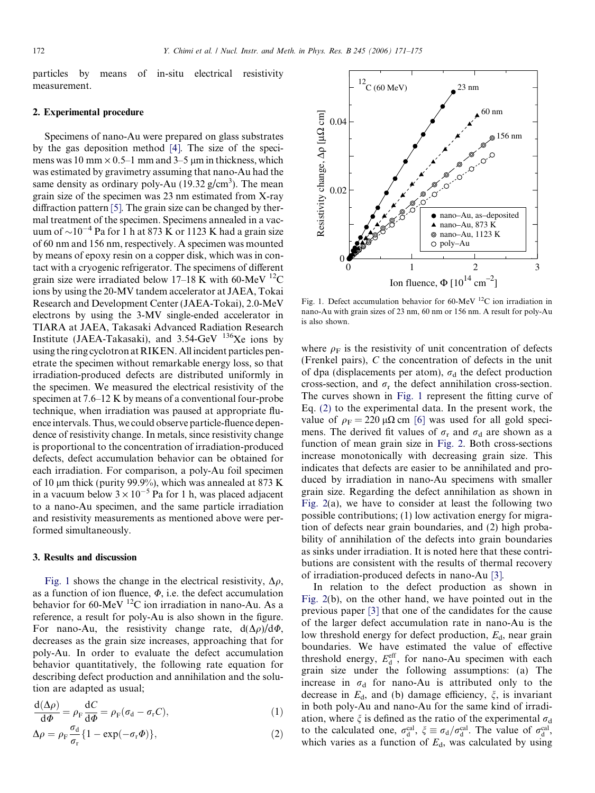<span id="page-1-0"></span>particles by means of in-situ electrical resistivity measurement.

### 2. Experimental procedure

Specimens of nano-Au were prepared on glass substrates by the gas deposition method [\[4\]](#page-3-0). The size of the specimens was 10 mm  $\times$  0.5–1 mm and 3–5 µm in thickness, which was estimated by gravimetry assuming that nano-Au had the same density as ordinary poly-Au  $(19.32 \text{ g/cm}^3)$ . The mean grain size of the specimen was 23 nm estimated from X-ray diffraction pattern [\[5\]](#page-3-0). The grain size can be changed by thermal treatment of the specimen. Specimens annealed in a vacuum of  $\sim$ 10<sup>-4</sup> Pa for 1 h at 873 K or 1123 K had a grain size of 60 nm and 156 nm, respectively. A specimen was mounted by means of epoxy resin on a copper disk, which was in contact with a cryogenic refrigerator. The specimens of different grain size were irradiated below 17–18 K with 60-MeV  $^{12}$ C ions by using the 20-MV tandem accelerator at JAEA, Tokai Research and Development Center (JAEA-Tokai), 2.0-MeV electrons by using the 3-MV single-ended accelerator in TIARA at JAEA, Takasaki Advanced Radiation Research Institute (JAEA-Takasaki), and  $3.54$ -GeV  $^{136}$ Xe ions by using the ring cyclotron at RIKEN. All incident particles penetrate the specimen without remarkable energy loss, so that irradiation-produced defects are distributed uniformly in the specimen. We measured the electrical resistivity of the specimen at 7.6–12 K by means of a conventional four-probe technique, when irradiation was paused at appropriate fluence intervals. Thus, we could observe particle-fluence dependence of resistivity change. In metals, since resistivity change is proportional to the concentration of irradiation-produced defects, defect accumulation behavior can be obtained for each irradiation. For comparison, a poly-Au foil specimen of 10  $\mu$ m thick (purity 99.9%), which was annealed at 873 K in a vacuum below  $3 \times 10^{-5}$  Pa for 1 h, was placed adjacent to a nano-Au specimen, and the same particle irradiation and resistivity measurements as mentioned above were performed simultaneously.

#### 3. Results and discussion

Fig. 1 shows the change in the electrical resistivity,  $\Delta \rho$ , as a function of ion fluence,  $\Phi$ , i.e. the defect accumulation behavior for 60-MeV  $^{12}$ C ion irradiation in nano-Au. As a reference, a result for poly-Au is also shown in the figure. For nano-Au, the resistivity change rate,  $d(\Delta \rho)/d\Phi$ , decreases as the grain size increases, approaching that for poly-Au. In order to evaluate the defect accumulation behavior quantitatively, the following rate equation for describing defect production and annihilation and the solution are adapted as usual;

$$
\frac{\mathrm{d}(\Delta \rho)}{\mathrm{d}\Phi} = \rho_{\rm F} \frac{\mathrm{d}C}{\mathrm{d}\Phi} = \rho_{\rm F} (\sigma_{\rm d} - \sigma_{\rm r} C),\tag{1}
$$

$$
\Delta \rho = \rho_{\rm F} \frac{\sigma_{\rm d}}{\sigma_{\rm r}} \{ 1 - \exp(-\sigma_{\rm r} \Phi) \},\tag{2}
$$



Fig. 1. Defect accumulation behavior for  $60$ -MeV  $^{12}$ C ion irradiation in nano-Au with grain sizes of 23 nm, 60 nm or 156 nm. A result for poly-Au is also shown.

where  $\rho_F$  is the resistivity of unit concentration of defects (Frenkel pairs), C the concentration of defects in the unit of dpa (displacements per atom),  $\sigma_d$  the defect production cross-section, and  $\sigma_r$  the defect annihilation cross-section. The curves shown in Fig. 1 represent the fitting curve of Eq. (2) to the experimental data. In the present work, the value of  $\rho_F = 220 \mu\Omega$  cm [\[6\]](#page-3-0) was used for all gold specimens. The derived fit values of  $\sigma_r$  and  $\sigma_d$  are shown as a function of mean grain size in [Fig. 2](#page-2-0). Both cross-sections increase monotonically with decreasing grain size. This indicates that defects are easier to be annihilated and produced by irradiation in nano-Au specimens with smaller grain size. Regarding the defect annihilation as shown in [Fig. 2\(](#page-2-0)a), we have to consider at least the following two possible contributions; (1) low activation energy for migration of defects near grain boundaries, and (2) high probability of annihilation of the defects into grain boundaries as sinks under irradiation. It is noted here that these contributions are consistent with the results of thermal recovery of irradiation-produced defects in nano-Au [\[3\]](#page-3-0).

In relation to the defect production as shown in [Fig. 2\(](#page-2-0)b), on the other hand, we have pointed out in the previous paper [\[3\]](#page-3-0) that one of the candidates for the cause of the larger defect accumulation rate in nano-Au is the low threshold energy for defect production,  $E_d$ , near grain boundaries. We have estimated the value of effective threshold energy,  $E_d^{\text{eff}}$ , for nano-Au specimen with each grain size under the following assumptions: (a) The increase in  $\sigma_d$  for nano-Au is attributed only to the decrease in  $E_d$ , and (b) damage efficiency,  $\xi$ , is invariant in both poly-Au and nano-Au for the same kind of irradiation, where  $\xi$  is defined as the ratio of the experimental  $\sigma_d$ to the calculated one,  $\sigma_d^{\text{cal}}$ ,  $\xi \equiv \sigma_d/\sigma_d^{\text{cal}}$ . The value of  $\sigma_d^{\text{cal}}$ , which varies as a function of  $E_d$ , was calculated by using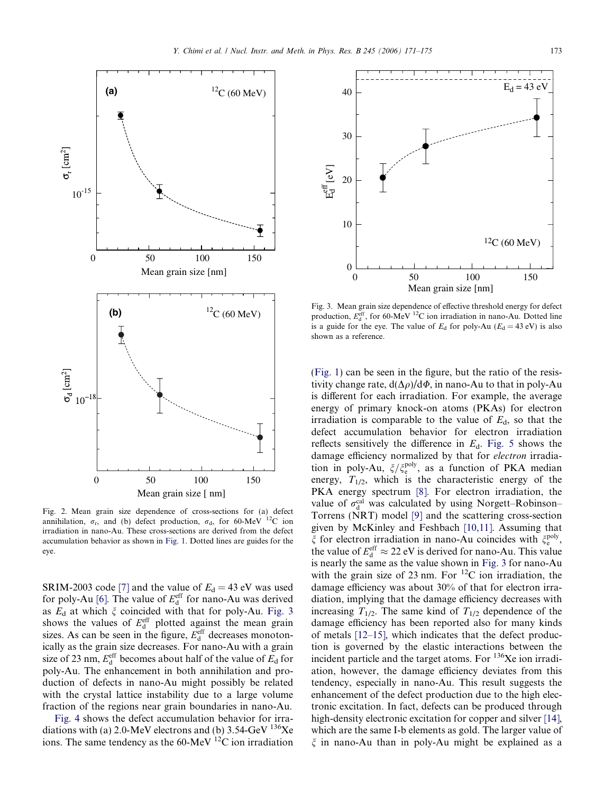<span id="page-2-0"></span>

Fig. 2. Mean grain size dependence of cross-sections for (a) defect annihilation,  $\sigma_r$ , and (b) defect production,  $\sigma_d$ , for 60-MeV <sup>12</sup>C ion irradiation in nano-Au. These cross-sections are derived from the defect accumulation behavior as shown in [Fig. 1](#page-1-0). Dotted lines are guides for the eye.

SRIM-2003 code [\[7\]](#page-3-0) and the value of  $E_d = 43$  eV was used for poly-Au [\[6\].](#page-3-0) The value of  $E_d^{\text{eff}}$  for nano-Au was derived as  $E_d$  at which  $\xi$  coincided with that for poly-Au. Fig. 3 shows the values of  $E_d^{\text{eff}}$  plotted against the mean grain sizes. As can be seen in the figure,  $E_d^{\text{eff}}$  decreases monotonically as the grain size decreases. For nano-Au with a grain size of 23 nm,  $E_d^{\text{eff}}$  becomes about half of the value of  $E_d$  for poly-Au. The enhancement in both annihilation and production of defects in nano-Au might possibly be related with the crystal lattice instability due to a large volume fraction of the regions near grain boundaries in nano-Au.

[Fig. 4](#page-3-0) shows the defect accumulation behavior for irradiations with (a) 2.0-MeV electrons and (b) 3.54-GeV  $^{136}Xe$ ions. The same tendency as the 60-MeV  $^{12}$ C ion irradiation



Fig. 3. Mean grain size dependence of effective threshold energy for defect production,  $E_d^{\text{eff}}$ , for 60-MeV <sup>12</sup>C ion irradiation in nano-Au. Dotted line is a guide for the eye. The value of  $E_d$  for poly-Au ( $E_d = 43$  eV) is also shown as a reference.

([Fig. 1\)](#page-1-0) can be seen in the figure, but the ratio of the resistivity change rate,  $d(\Delta \rho)/d\Phi$ , in nano-Au to that in poly-Au is different for each irradiation. For example, the average energy of primary knock-on atoms (PKAs) for electron irradiation is comparable to the value of  $E<sub>d</sub>$ , so that the defect accumulation behavior for electron irradiation reflects sensitively the difference in  $E_d$ . [Fig. 5](#page-3-0) shows the damage efficiency normalized by that for electron irradiation in poly-Au,  $\zeta/\zeta_e^{\text{poly}}$ , as a function of PKA median energy,  $T_{1/2}$ , which is the characteristic energy of the PKA energy spectrum [\[8\].](#page-3-0) For electron irradiation, the value of  $\sigma_d^{\text{cal}}$  was calculated by using Norgett–Robinson– Torrens (NRT) model [\[9\]](#page-4-0) and the scattering cross-section given by McKinley and Feshbach [\[10,11\]](#page-4-0). Assuming that  $\xi$  for electron irradiation in nano-Au coincides with  $\xi_{\rm e}^{\rm poly}$ , the value of  $E_d^{\text{eff}} \approx 22 \text{ eV}$  is derived for nano-Au. This value is nearly the same as the value shown in Fig. 3 for nano-Au with the grain size of 23 nm. For  ${}^{12}C$  ion irradiation, the damage efficiency was about 30% of that for electron irradiation, implying that the damage efficiency decreases with increasing  $T_{1/2}$ . The same kind of  $T_{1/2}$  dependence of the damage efficiency has been reported also for many kinds of metals [\[12–15\],](#page-4-0) which indicates that the defect production is governed by the elastic interactions between the incident particle and the target atoms. For  $136$ Xe ion irradiation, however, the damage efficiency deviates from this tendency, especially in nano-Au. This result suggests the enhancement of the defect production due to the high electronic excitation. In fact, defects can be produced through high-density electronic excitation for copper and silver [\[14\],](#page-4-0) which are the same I-b elements as gold. The larger value of  $\xi$  in nano-Au than in poly-Au might be explained as a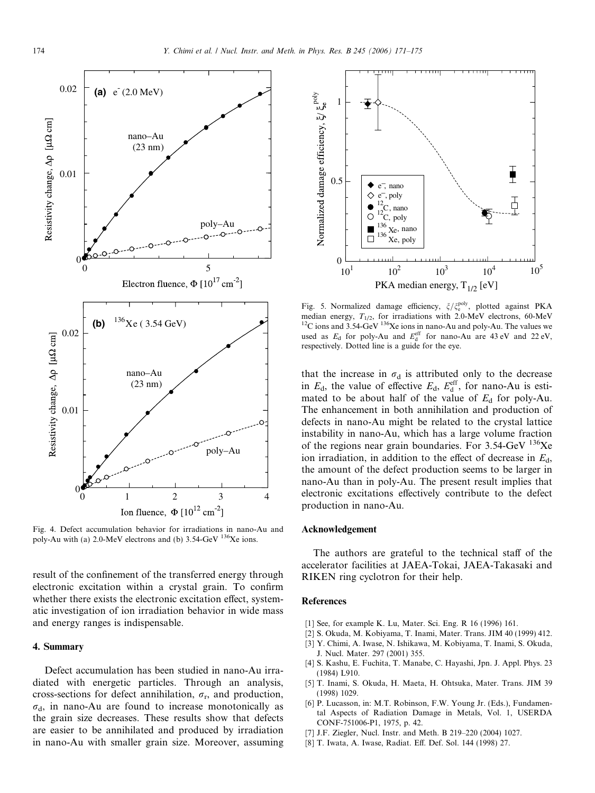<span id="page-3-0"></span>

Fig. 4. Defect accumulation behavior for irradiations in nano-Au and poly-Au with (a) 2.0-MeV electrons and (b) 3.54-GeV <sup>136</sup>Xe ions.

result of the confinement of the transferred energy through electronic excitation within a crystal grain. To confirm whether there exists the electronic excitation effect, systematic investigation of ion irradiation behavior in wide mass and energy ranges is indispensable.

## 4. Summary

Defect accumulation has been studied in nano-Au irradiated with energetic particles. Through an analysis, cross-sections for defect annihilation,  $\sigma_r$ , and production,  $\sigma_{d}$ , in nano-Au are found to increase monotonically as the grain size decreases. These results show that defects are easier to be annihilated and produced by irradiation in nano-Au with smaller grain size. Moreover, assuming



Fig. 5. Normalized damage efficiency,  $\zeta/\zeta_e^{\text{poly}}$ , plotted against PKA  $^{12}$ C ions and 3.54-GeV  $^{136}$ Xe ions in nano-Au and poly-Au. The values we used as  $E_d$  for poly-Au and  $E_d^{\text{eff}}$  for nano-Au are 43 eV and 22 eV, respectively. Dotted line is a guide for the eye.

that the increase in  $\sigma_d$  is attributed only to the decrease in  $E_d$ , the value of effective  $E_d$ ,  $E_d^{\text{eff}}$ , for nano-Au is estimated to be about half of the value of  $E_d$  for poly-Au. The enhancement in both annihilation and production of defects in nano-Au might be related to the crystal lattice instability in nano-Au, which has a large volume fraction of the regions near grain boundaries. For  $3.54$ -GeV  $^{136}$ Xe ion irradiation, in addition to the effect of decrease in  $E_d$ , the amount of the defect production seems to be larger in nano-Au than in poly-Au. The present result implies that electronic excitations effectively contribute to the defect production in nano-Au.

## Acknowledgement

The authors are grateful to the technical staff of the accelerator facilities at JAEA-Tokai, JAEA-Takasaki and RIKEN ring cyclotron for their help.

#### References

- [1] See, for example K. Lu, Mater. Sci. Eng. R 16 (1996) 161.
- [2] S. Okuda, M. Kobiyama, T. Inami, Mater. Trans. JIM 40 (1999) 412.
- [3] Y. Chimi, A. Iwase, N. Ishikawa, M. Kobiyama, T. Inami, S. Okuda, J. Nucl. Mater. 297 (2001) 355.
- [4] S. Kashu, E. Fuchita, T. Manabe, C. Hayashi, Jpn. J. Appl. Phys. 23 (1984) L910.
- [5] T. Inami, S. Okuda, H. Maeta, H. Ohtsuka, Mater. Trans. JIM 39 (1998) 1029.
- [6] P. Lucasson, in: M.T. Robinson, F.W. Young Jr. (Eds.), Fundamental Aspects of Radiation Damage in Metals, Vol. 1, USERDA CONF-751006-P1, 1975, p. 42.
- [7] J.F. Ziegler, Nucl. Instr. and Meth. B 219–220 (2004) 1027.
- [8] T. Iwata, A. Iwase, Radiat. Eff. Def. Sol. 144 (1998) 27.